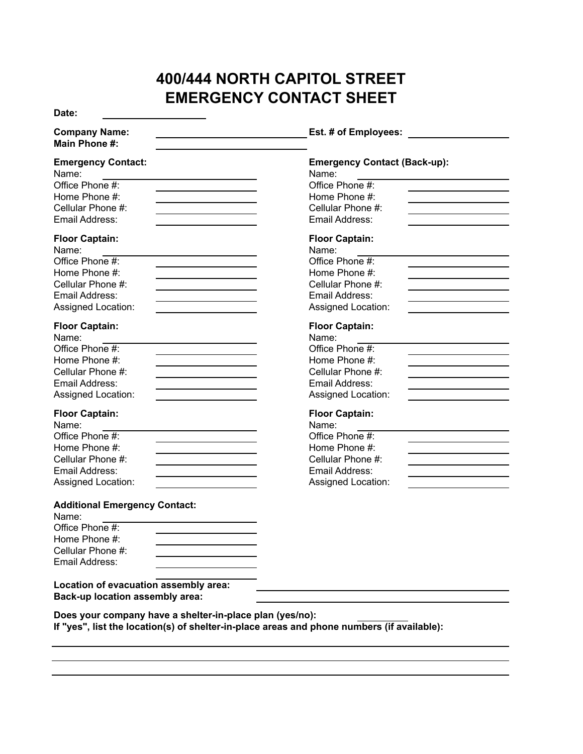## **400/444 NORTH CAPITOL STREET EMERGENCY CONTACT SHEET**

**Date:**

| <b>Company Name:</b><br>Main Phone #:                                                                                                                                                                | Est. # of Employees:                                                                                                            |
|------------------------------------------------------------------------------------------------------------------------------------------------------------------------------------------------------|---------------------------------------------------------------------------------------------------------------------------------|
| <b>Emergency Contact:</b><br>Name:<br>Office Phone #:<br>Home Phone #:<br>Cellular Phone #:<br>Email Address:                                                                                        | <b>Emergency Contact (Back-up):</b><br>Name:<br>Office Phone #:<br>Home Phone #:<br>Cellular Phone #:<br>Email Address:         |
| <b>Floor Captain:</b><br>Name:<br>Office Phone #:<br>Home Phone #:<br>Cellular Phone #:<br>Email Address:<br>Assigned Location:                                                                      | <b>Floor Captain:</b><br>Name:<br>Office Phone #:<br>Home Phone #:<br>Cellular Phone #:<br>Email Address:<br>Assigned Location: |
| <b>Floor Captain:</b><br>Name:<br>Office Phone #:<br>Home Phone #:<br>Cellular Phone #:<br>Email Address:<br>Assigned Location:                                                                      | <b>Floor Captain:</b><br>Name:<br>Office Phone #:<br>Home Phone #:<br>Cellular Phone #:<br>Email Address:<br>Assigned Location: |
| <b>Floor Captain:</b><br>Name:<br>Office Phone #:<br>Home Phone #:<br>Cellular Phone #:<br>Email Address:<br>Assigned Location:                                                                      | <b>Floor Captain:</b><br>Name:<br>Office Phone #:<br>Home Phone #:<br>Cellular Phone #:<br>Email Address:<br>Assigned Location: |
| <b>Additional Emergency Contact:</b><br>Name:<br>Office Phone #:<br>Home Phone #:<br>Cellular Phone #:<br>Email Address:<br>Location of evacuation assembly area:<br>Back-up location assembly area: |                                                                                                                                 |
| Does your company have a shelter-in-place plan (yes/no):<br><u>If Ilizaally list the leastign (a)</u> of shelter in place areas and phone numbers (if available).                                    |                                                                                                                                 |

**If "yes", list the location(s) of shelter-in-place areas and phone numbers (if available):**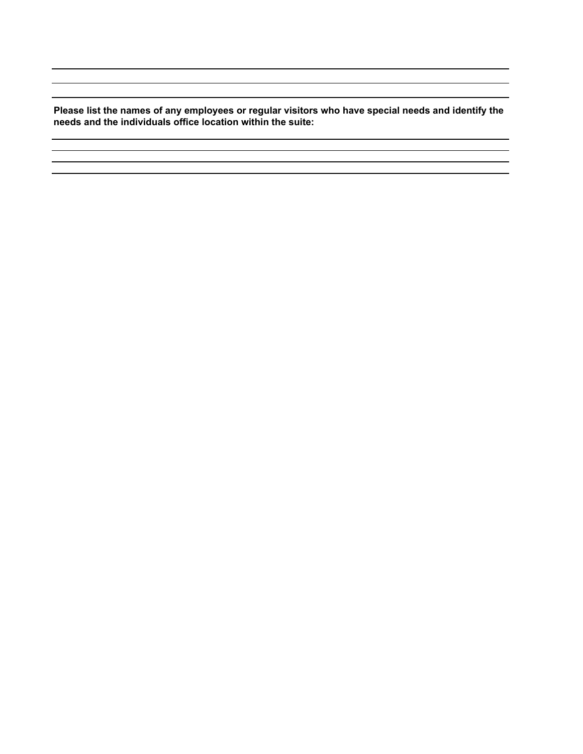**Please list the names of any employees or regular visitors who have special needs and identify the needs and the individuals office location within the suite:**

<u> 1980 - Johann Barn, mars an t-Amerikaansk politiker (</u> 

 $\sim 10^{-10}$